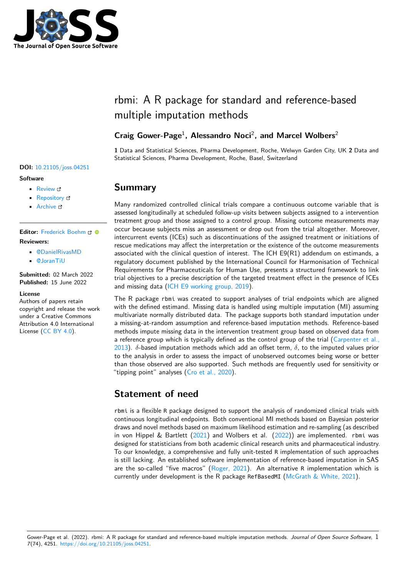

# rbmi: A R package for standard and reference-based multiple imputation methods

## **Craig Gower-Page**<sup>1</sup> **, Alessandro Noci**<sup>2</sup> **, and Marcel Wolbers**<sup>2</sup>

**1** Data and Statistical Sciences, Pharma Development, Roche, Welwyn Garden City, UK **2** Data and Statistical Sciences, Pharma Development, Roche, Basel, Switzerland

## **Summary**

Many randomized controlled clinical trials compare a continuous outcome variable that is assessed longitudinally at scheduled follow-up visits between subjects assigned to a intervention treatment group and those assigned to a control group. Missing outcome measurements may occur because subjects miss an assessment or drop out from the trial altogether. Moreover, intercurrent events (ICEs) such as discontinuations of the assigned treatment or initiations of rescue medications may affect the interpretation or the existence of the outcome measurements associated with the clinical question of interest. The ICH E9(R1) addendum on estimands, a regulatory document published by the International Council for Harmonisation of Technical Requirements for Pharmaceuticals for Human Use, presents a structured framework to link trial objectives to a precise description of the targeted treatment effect in the presence of ICEs and missing data [\(ICH E9 working group, 2019\)](#page-2-0).

The R package rbmi was created to support analyses of trial endpoints which are aligned with the defined estimand. Missing data is handled using multiple imputation (MI) assuming multivariate normally distributed data. The package supports both standard imputation under a missing-at-random assumption and reference-based imputation methods. Reference-based methods impute missing data in the intervention treatment group based on observed data from a reference group which is typically defined as the control group of the trial [\(Carpenter et al.,](#page-2-1) [2013\)](#page-2-1).  $\delta$ -based imputation methods which add an offset term,  $\delta$ , to the imputed values prior to the analysis in order to assess the impact of unobserved outcomes being worse or better than those observed are also supported. Such methods are frequently used for sensitivity or "tipping point" analyses [\(Cro et al., 2020\)](#page-2-2).

## **Statement of need**

rbmi is a flexible R package designed to support the analysis of randomized clinical trials with continuous longitudinal endpoints. Both conventional MI methods based on Bayesian posterior draws and novel methods based on maximum likelihood estimation and re-sampling (as described in von Hippel & Bartlett  $(2021)$  and Wolbers et al.  $(2022)$ ) are implemented. rbmi was designed for statisticians from both academic clinical research units and pharmaceutical industry. To our knowledge, a comprehensive and fully unit-tested R implementation of such approaches is still lacking. An established software implementation of reference-based imputation in SAS are the so-called "five macros" [\(Roger, 2021\)](#page-2-5). An alternative R implementation which is currently under development is the R package RefBasedMI [\(McGrath & White, 2021\)](#page-2-6).

Gower-Page et al. (2022). rbmi: A R package for standard and reference-based multiple imputation methods. Journal of Open Source Software, 1 7(74), 4251. [https://doi.org/10.21105/joss.04251.](https://doi.org/10.21105/joss.04251)

#### **DOI:** [10.21105/joss.04251](https://doi.org/10.21105/joss.04251)

#### **Software**

- [Review](https://github.com/openjournals/joss-reviews/issues/4251) r
- [Repository](https://github.com/insightsengineering/rbmi) &
- [Archive](https://doi.org/10.5281/zenodo.6632154)

#### Editor: [Frederick Boehm](https://fboehm.us) C<sup>O</sup> **Reviewers:**

- [@DanielRivasMD](https://github.com/DanielRivasMD)
- [@JoranTiU](https://github.com/JoranTiU)

**Submitted:** 02 March 2022 **Published:** 15 June 2022

#### **License**

Authors of papers retain copyright and release the work under a Creative Commons Attribution 4.0 International License [\(CC BY 4.0\)](https://creativecommons.org/licenses/by/4.0/).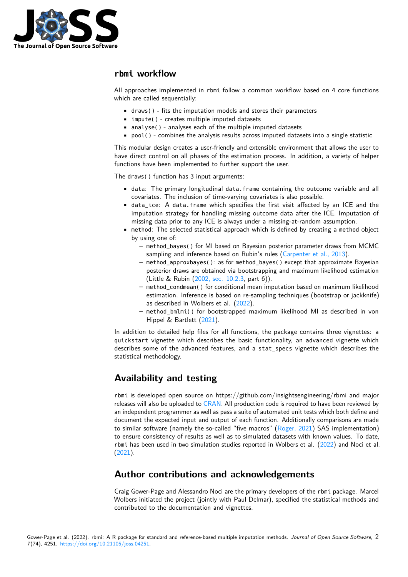

### **rbmi workflow**

All approaches implemented in rbmi follow a common workflow based on 4 core functions which are called sequentially:

- draws() fits the imputation models and stores their parameters
- impute() creates multiple imputed datasets
- analyse() analyses each of the multiple imputed datasets
- pool() combines the analysis results across imputed datasets into a single statistic

This modular design creates a user-friendly and extensible environment that allows the user to have direct control on all phases of the estimation process. In addition, a variety of helper functions have been implemented to further support the user.

The draws() function has 3 input arguments:

- data: The primary longitudinal data.frame containing the outcome variable and all covariates. The inclusion of time-varying covariates is also possible.
- data ice: A data.frame which specifies the first visit affected by an ICE and the imputation strategy for handling missing outcome data after the ICE. Imputation of missing data prior to any ICE is always under a missing-at-random assumption.
- method: The selected statistical approach which is defined by creating a method object by using one of:
	- **–** method\_bayes() for MI based on Bayesian posterior parameter draws from MCMC sampling and inference based on Rubin's rules [\(Carpenter et al., 2013\)](#page-2-1).
	- **–** method\_approxbayes(): as for method\_bayes() except that approximate Bayesian posterior draws are obtained via bootstrapping and maximum likelihood estimation (Little & Rubin [\(2002, sec. 10.2.3,](#page-2-7) part 6)).
	- **–** method\_condmean() for conditional mean imputation based on maximum likelihood estimation. Inference is based on re-sampling techniques (bootstrap or jackknife) as described in Wolbers et al. [\(2022\)](#page-2-4).
	- **–** method\_bmlmi() for bootstrapped maximum likelihood MI as described in von Hippel & Bartlett [\(2021\)](#page-2-3).

In addition to detailed help files for all functions, the package contains three vignettes: a quickstart vignette which describes the basic functionality, an advanced vignette which describes some of the advanced features, and a stat\_specs vignette which describes the statistical methodology.

## **Availability and testing**

rbmi is developed open source on https://github.com/insightsengineering/rbmi and major releases will also be uploaded to [CRAN.](https://cran.r-project.org/) All production code is required to have been reviewed by an independent programmer as well as pass a suite of automated unit tests which both define and document the expected input and output of each function. Additionally comparisons are made to similar software (namely the so-called "five macros" [\(Roger, 2021\)](#page-2-5) SAS implementation) to ensure consistency of results as well as to simulated datasets with known values. To date, rbmi has been used in two simulation studies reported in Wolbers et al. [\(2022\)](#page-2-4) and Noci et al. [\(2021\)](#page-2-8).

## **Author contributions and acknowledgements**

Craig Gower-Page and Alessandro Noci are the primary developers of the rbmi package. Marcel Wolbers initiated the project (jointly with Paul Delmar), specified the statistical methods and contributed to the documentation and vignettes.